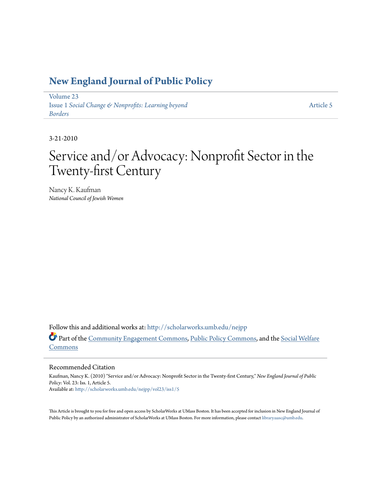### **[New England Journal of Public Policy](http://scholarworks.umb.edu/nejpp?utm_source=scholarworks.umb.edu%2Fnejpp%2Fvol23%2Fiss1%2F5&utm_medium=PDF&utm_campaign=PDFCoverPages)**

[Volume 23](http://scholarworks.umb.edu/nejpp/vol23?utm_source=scholarworks.umb.edu%2Fnejpp%2Fvol23%2Fiss1%2F5&utm_medium=PDF&utm_campaign=PDFCoverPages) Issue 1 *[Social Change & Nonprofits: Learning beyond](http://scholarworks.umb.edu/nejpp/vol23/iss1?utm_source=scholarworks.umb.edu%2Fnejpp%2Fvol23%2Fiss1%2F5&utm_medium=PDF&utm_campaign=PDFCoverPages) [Borders](http://scholarworks.umb.edu/nejpp/vol23/iss1?utm_source=scholarworks.umb.edu%2Fnejpp%2Fvol23%2Fiss1%2F5&utm_medium=PDF&utm_campaign=PDFCoverPages)*

[Article 5](http://scholarworks.umb.edu/nejpp/vol23/iss1/5?utm_source=scholarworks.umb.edu%2Fnejpp%2Fvol23%2Fiss1%2F5&utm_medium=PDF&utm_campaign=PDFCoverPages)

3-21-2010

# Service and/or Advocacy: Nonprofit Sector in the Twenty-first Century

Nancy K. Kaufman *National Council of Jewish Women*

Follow this and additional works at: [http://scholarworks.umb.edu/nejpp](http://scholarworks.umb.edu/nejpp?utm_source=scholarworks.umb.edu%2Fnejpp%2Fvol23%2Fiss1%2F5&utm_medium=PDF&utm_campaign=PDFCoverPages) Part of the [Community Engagement Commons](http://network.bepress.com/hgg/discipline/1028?utm_source=scholarworks.umb.edu%2Fnejpp%2Fvol23%2Fiss1%2F5&utm_medium=PDF&utm_campaign=PDFCoverPages), [Public Policy Commons](http://network.bepress.com/hgg/discipline/400?utm_source=scholarworks.umb.edu%2Fnejpp%2Fvol23%2Fiss1%2F5&utm_medium=PDF&utm_campaign=PDFCoverPages), and the [Social Welfare](http://network.bepress.com/hgg/discipline/401?utm_source=scholarworks.umb.edu%2Fnejpp%2Fvol23%2Fiss1%2F5&utm_medium=PDF&utm_campaign=PDFCoverPages) [Commons](http://network.bepress.com/hgg/discipline/401?utm_source=scholarworks.umb.edu%2Fnejpp%2Fvol23%2Fiss1%2F5&utm_medium=PDF&utm_campaign=PDFCoverPages)

#### Recommended Citation

Kaufman, Nancy K. (2010) "Service and/or Advocacy: Nonprofit Sector in the Twenty-first Century," *New England Journal of Public Policy*: Vol. 23: Iss. 1, Article 5. Available at: [http://scholarworks.umb.edu/nejpp/vol23/iss1/5](http://scholarworks.umb.edu/nejpp/vol23/iss1/5?utm_source=scholarworks.umb.edu%2Fnejpp%2Fvol23%2Fiss1%2F5&utm_medium=PDF&utm_campaign=PDFCoverPages)

This Article is brought to you for free and open access by ScholarWorks at UMass Boston. It has been accepted for inclusion in New England Journal of Public Policy by an authorized administrator of ScholarWorks at UMass Boston. For more information, please contact [library.uasc@umb.edu](mailto:library.uasc@umb.edu).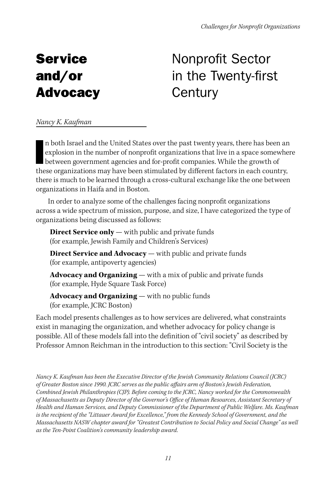## Service and/or Advocacy

# Nonprofit Sector in the Twenty-first **Century**

*Nancy K. Kaufman* 

I<sub>the</sub> n both Israel and the United States over the past twenty years, there has been an explosion in the number of nonprofit organizations that live in a space somewhere between government agencies and for-profit companies. While the growth of these organizations may have been stimulated by different factors in each country, there is much to be learned through a cross-cultural exchange like the one between organizations in Haifa and in Boston.

In order to analyze some of the challenges facing nonprofit organizations across a wide spectrum of mission, purpose, and size, I have categorized the type of organizations being discussed as follows:

**Direct Service only** — with public and private funds (for example, Jewish Family and Children's Services)

**Direct Service and Advocacy** — with public and private funds (for example, antipoverty agencies)

**Advocacy and Organizing** — with a mix of public and private funds (for example, Hyde Square Task Force)

**Advocacy and Organizing** — with no public funds (for example, JCRC Boston)

Each model presents challenges as to how services are delivered, what constraints exist in managing the organization, and whether advocacy for policy change is possible. All of these models fall into the definition of "civil society" as described by Professor Amnon Reichman in the introduction to this section: "Civil Society is the

*Nancy K. Kaufman has been the Executive Director of the Jewish Community Relations Council (JCRC) of Greater Boston since 1990. JCRC serves as the public affairs arm of Boston's Jewish Federation, Combined Jewish Philanthropies (CJP). Before coming to the JCRC, Nancy worked for the Commonwealth of Massachusetts as Deputy Director of the Governor's Office of Human Resources, Assistant Secretary of Health and Human Services, and Deputy Commissioner of the Department of Public Welfare. Ms. Kaufman is the recipient of the "Littauer Award for Excellence," from the Kennedy School of Government, and the Massachusetts NASW chapter award for "Greatest Contribution to Social Policy and Social Change" as well as the Ten-Point Coalition's community leadership award.*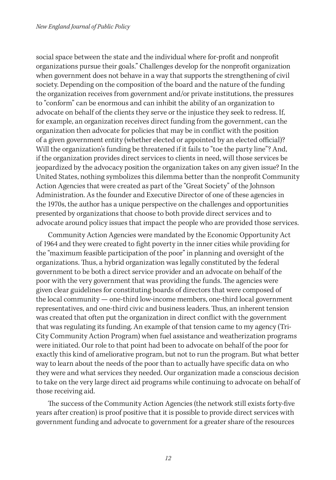social space between the state and the individual where for-profit and nonprofit organizations pursue their goals." Challenges develop for the nonprofit organization when government does not behave in a way that supports the strengthening of civil society. Depending on the composition of the board and the nature of the funding the organization receives from government and/or private institutions, the pressures to "conform" can be enormous and can inhibit the ability of an organization to advocate on behalf of the clients they serve or the injustice they seek to redress. If, for example, an organization receives direct funding from the government, can the organization then advocate for policies that may be in conflict with the position of a given government entity (whether elected or appointed by an elected official)? Will the organization's funding be threatened if it fails to "toe the party line"? And, if the organization provides direct services to clients in need, will those services be jeopardized by the advocacy position the organization takes on any given issue? In the United States, nothing symbolizes this dilemma better than the nonprofit Community Action Agencies that were created as part of the "Great Society" of the Johnson Administration. As the founder and Executive Director of one of these agencies in the 1970s, the author has a unique perspective on the challenges and opportunities presented by organizations that choose to both provide direct services and to advocate around policy issues that impact the people who are provided those services.

Community Action Agencies were mandated by the Economic Opportunity Act of 1964 and they were created to fight poverty in the inner cities while providing for the "maximum feasible participation of the poor" in planning and oversight of the organizations. Thus, a hybrid organization was legally constituted by the federal government to be both a direct service provider and an advocate on behalf of the poor with the very government that was providing the funds. The agencies were given clear guidelines for constituting boards of directors that were composed of the local community — one-third low-income members, one-third local government representatives, and one-third civic and business leaders. Thus, an inherent tension was created that often put the organization in direct conflict with the government that was regulating its funding. An example of that tension came to my agency (Tri-City Community Action Program) when fuel assistance and weatherization programs were initiated. Our role to that point had been to advocate on behalf of the poor for exactly this kind of ameliorative program, but not to run the program. But what better way to learn about the needs of the poor than to actually have specific data on who they were and what services they needed. Our organization made a conscious decision to take on the very large direct aid programs while continuing to advocate on behalf of those receiving aid.

The success of the Community Action Agencies (the network still exists forty-five years after creation) is proof positive that it is possible to provide direct services with government funding and advocate to government for a greater share of the resources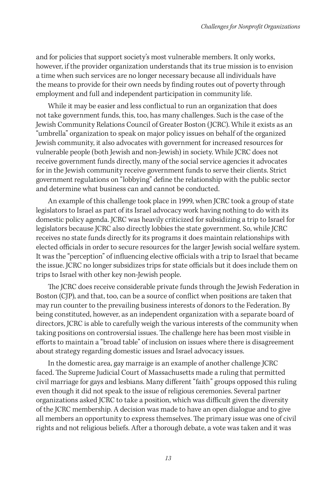and for policies that support society's most vulnerable members. It only works, however, if the provider organization understands that its true mission is to envision a time when such services are no longer necessary because all individuals have the means to provide for their own needs by finding routes out of poverty through employment and full and independent participation in community life.

While it may be easier and less conflictual to run an organization that does not take government funds, this, too, has many challenges. Such is the case of the Jewish Community Relations Council of Greater Boston (JCRC). While it exists as an "umbrella" organization to speak on major policy issues on behalf of the organized Jewish community, it also advocates with government for increased resources for vulnerable people (both Jewish and non-Jewish) in society. While JCRC does not receive government funds directly, many of the social service agencies it advocates for in the Jewish community receive government funds to serve their clients. Strict government regulations on "lobbying" define the relationship with the public sector and determine what business can and cannot be conducted.

An example of this challenge took place in 1999, when JCRC took a group of state legislators to Israel as part of its Israel advocacy work having nothing to do with its domestic policy agenda. JCRC was heavily criticized for subsidizing a trip to Israel for legislators because JCRC also directly lobbies the state government. So, while JCRC receives no state funds directly for its programs it does maintain relationships with elected officials in order to secure resources for the larger Jewish social welfare system. It was the "perception" of influencing elective officials with a trip to Israel that became the issue. JCRC no longer subsidizes trips for state officials but it does include them on trips to Israel with other key non-Jewish people.

The JCRC does receive considerable private funds through the Jewish Federation in Boston (CJP), and that, too, can be a source of conflict when positions are taken that may run counter to the prevailing business interests of donors to the Federation. By being constituted, however, as an independent organization with a separate board of directors, JCRC is able to carefully weigh the various interests of the community when taking positions on controversial issues. The challenge here has been most visible in efforts to maintain a "broad table" of inclusion on issues where there is disagreement about strategy regarding domestic issues and Israel advocacy issues.

In the domestic area, gay marraige is an example of another challenge JCRC faced. The Supreme Judicial Court of Massachusetts made a ruling that permitted civil marriage for gays and lesbians. Many different "faith" groups opposed this ruling even though it did not speak to the issue of religious ceremonies. Several partner organizations asked JCRC to take a position, which was difficult given the diversity of the JCRC membership. A decision was made to have an open dialogue and to give all members an opportunity to express themselves. The primary issue was one of civil rights and not religious beliefs. After a thorough debate, a vote was taken and it was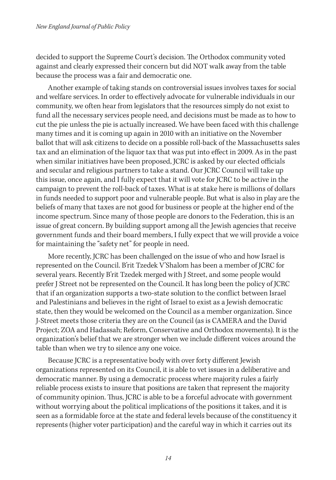decided to support the Supreme Court's decision. The Orthodox community voted against and clearly expressed their concern but did NOT walk away from the table because the process was a fair and democratic one.

Another example of taking stands on controversial issues involves taxes for social and welfare services. In order to effectively advocate for vulnerable individuals in our community, we often hear from legislators that the resources simply do not exist to fund all the necessary services people need, and decisions must be made as to how to cut the pie unless the pie is actually increased. We have been faced with this challenge many times and it is coming up again in 2010 with an initiative on the November ballot that will ask citizens to decide on a possible roll-back of the Massachusetts sales tax and an elimination of the liquor tax that was put into effect in 2009. As in the past when similar initiatives have been proposed, JCRC is asked by our elected officials and secular and religious partners to take a stand. Our JCRC Council will take up this issue, once again, and I fully expect that it will vote for JCRC to be active in the campaign to prevent the roll-back of taxes. What is at stake here is millions of dollars in funds needed to support poor and vulnerable people. But what is also in play are the beliefs of many that taxes are not good for business or people at the higher end of the income spectrum. Since many of those people are donors to the Federation, this is an issue of great concern. By building support among all the Jewish agencies that receive government funds and their board members, I fully expect that we will provide a voice for maintaining the "safety net" for people in need.

More recently, JCRC has been challenged on the issue of who and how Israel is represented on the Council. B'rit Tzedek V'Shalom has been a member of JCRC for several years. Recently B'rit Tzedek merged with J Street, and some people would prefer J Street not be represented on the Council. It has long been the policy of JCRC that if an organization supports a two-state solution to the conflict between Israel and Palestinians and believes in the right of Israel to exist as a Jewish democratic state, then they would be welcomed on the Council as a member organization. Since J-Street meets those criteria they are on the Council (as is CAMERA and the David Project; ZOA and Hadassah; Reform, Conservative and Orthodox movements). It is the organization's belief that we are stronger when we include different voices around the table than when we try to silence any one voice.

Because JCRC is a representative body with over forty different Jewish organizations represented on its Council, it is able to vet issues in a deliberative and democratic manner. By using a democratic process where majority rules a fairly reliable process exists to insure that positions are taken that represent the majority of community opinion. Thus, JCRC is able to be a forceful advocate with government without worrying about the political implications of the positions it takes, and it is seen as a formidable force at the state and federal levels because of the constituency it represents (higher voter participation) and the careful way in which it carries out its